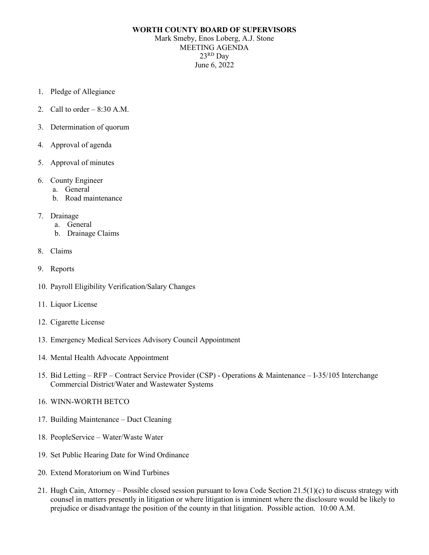## **WORTH COUNTY BOARD OF SUPERVISORS**

Mark Smeby, Enos Loberg, A.J. Stone MEETING AGENDA 23RD Day June 6, 2022

- 1. Pledge of Allegiance
- 2. Call to order  $-8:30$  A.M.
- 3. Determination of quorum
- 4. Approval of agenda
- 5. Approval of minutes
- 6. County Engineer
	- a. General
	- b. Road maintenance
- 7. Drainage
	- a. General
	- b. Drainage Claims
- 8. Claims
- 9. Reports
- 10. Payroll Eligibility Verification/Salary Changes
- 11. Liquor License
- 12. Cigarette License
- 13. Emergency Medical Services Advisory Council Appointment
- 14. Mental Health Advocate Appointment
- 15. Bid Letting RFP Contract Service Provider (CSP) Operations & Maintenance I-35/105 Interchange Commercial District/Water and Wastewater Systems
- 16. WINN-WORTH BETCO
- 17. Building Maintenance Duct Cleaning
- 18. PeopleService Water/Waste Water
- 19. Set Public Hearing Date for Wind Ordinance
- 20. Extend Moratorium on Wind Turbines
- 21. Hugh Cain, Attorney Possible closed session pursuant to Iowa Code Section 21.5(1)(c) to discuss strategy with counsel in matters presently in litigation or where litigation is imminent where the disclosure would be likely to prejudice or disadvantage the position of the county in that litigation. Possible action. 10:00 A.M.